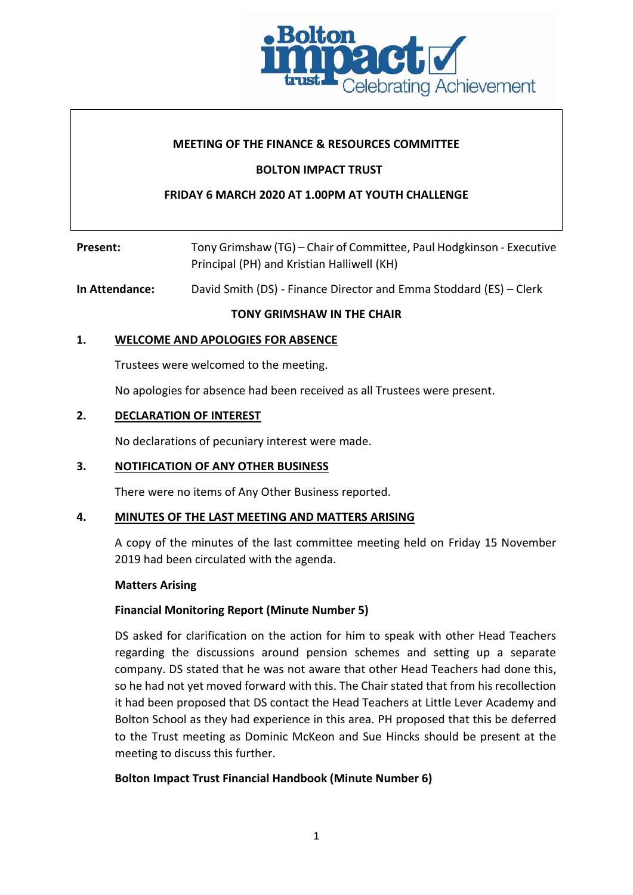

## **MEETING OF THE FINANCE & RESOURCES COMMITTEE**

## **BOLTON IMPACT TRUST**

## **FRIDAY 6 MARCH 2020 AT 1.00PM AT YOUTH CHALLENGE**

| Present: | Tony Grimshaw (TG) – Chair of Committee, Paul Hodgkinson - Executive |
|----------|----------------------------------------------------------------------|
|          | Principal (PH) and Kristian Halliwell (KH)                           |

## **In Attendance:** David Smith (DS) - Finance Director and Emma Stoddard (ES) – Clerk

**TONY GRIMSHAW IN THE CHAIR**

### **1. WELCOME AND APOLOGIES FOR ABSENCE**

Trustees were welcomed to the meeting.

No apologies for absence had been received as all Trustees were present.

### **2. DECLARATION OF INTEREST**

No declarations of pecuniary interest were made.

#### **3. NOTIFICATION OF ANY OTHER BUSINESS**

There were no items of Any Other Business reported.

#### **4. MINUTES OF THE LAST MEETING AND MATTERS ARISING**

A copy of the minutes of the last committee meeting held on Friday 15 November 2019 had been circulated with the agenda.

#### **Matters Arising**

### **Financial Monitoring Report (Minute Number 5)**

DS asked for clarification on the action for him to speak with other Head Teachers regarding the discussions around pension schemes and setting up a separate company. DS stated that he was not aware that other Head Teachers had done this, so he had not yet moved forward with this. The Chair stated that from his recollection it had been proposed that DS contact the Head Teachers at Little Lever Academy and Bolton School as they had experience in this area. PH proposed that this be deferred to the Trust meeting as Dominic McKeon and Sue Hincks should be present at the meeting to discuss this further.

### **Bolton Impact Trust Financial Handbook (Minute Number 6)**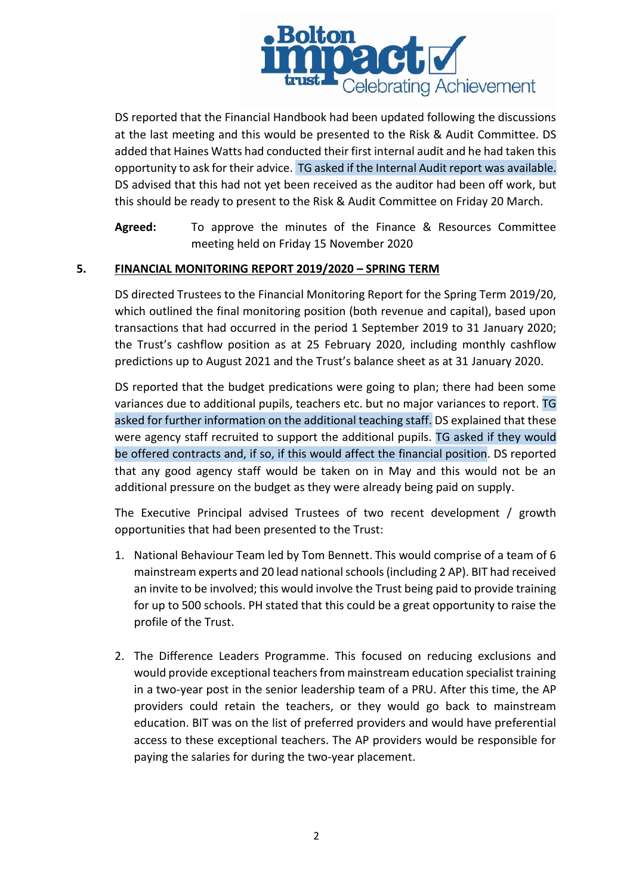

DS reported that the Financial Handbook had been updated following the discussions at the last meeting and this would be presented to the Risk & Audit Committee. DS added that Haines Watts had conducted their first internal audit and he had taken this opportunity to ask for their advice. TG asked if the Internal Audit report was available. DS advised that this had not yet been received as the auditor had been off work, but this should be ready to present to the Risk & Audit Committee on Friday 20 March.

**Agreed:** To approve the minutes of the Finance & Resources Committee meeting held on Friday 15 November 2020

## **5. FINANCIAL MONITORING REPORT 2019/2020 – SPRING TERM**

DS directed Trustees to the Financial Monitoring Report for the Spring Term 2019/20, which outlined the final monitoring position (both revenue and capital), based upon transactions that had occurred in the period 1 September 2019 to 31 January 2020; the Trust's cashflow position as at 25 February 2020, including monthly cashflow predictions up to August 2021 and the Trust's balance sheet as at 31 January 2020.

DS reported that the budget predications were going to plan; there had been some variances due to additional pupils, teachers etc. but no major variances to report. TG asked for further information on the additional teaching staff. DS explained that these were agency staff recruited to support the additional pupils. TG asked if they would be offered contracts and, if so, if this would affect the financial position. DS reported that any good agency staff would be taken on in May and this would not be an additional pressure on the budget as they were already being paid on supply.

The Executive Principal advised Trustees of two recent development / growth opportunities that had been presented to the Trust:

- 1. National Behaviour Team led by Tom Bennett. This would comprise of a team of 6 mainstream experts and 20 lead national schools (including 2 AP). BIT had received an invite to be involved; this would involve the Trust being paid to provide training for up to 500 schools. PH stated that this could be a great opportunity to raise the profile of the Trust.
- 2. The Difference Leaders Programme. This focused on reducing exclusions and would provide exceptional teachers from mainstream education specialist training in a two-year post in the senior leadership team of a PRU. After this time, the AP providers could retain the teachers, or they would go back to mainstream education. BIT was on the list of preferred providers and would have preferential access to these exceptional teachers. The AP providers would be responsible for paying the salaries for during the two-year placement.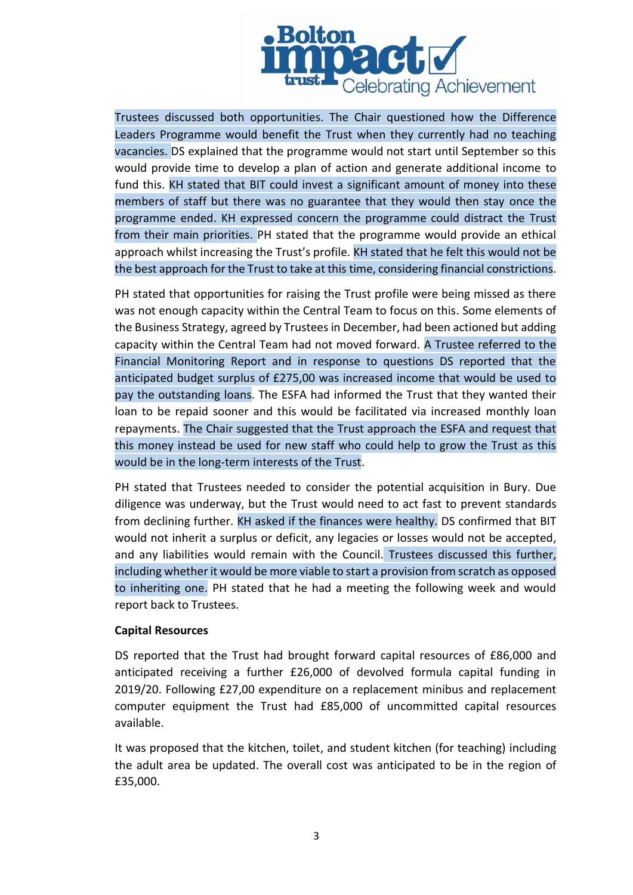

Trustees discussed both opportunities. The Chair questioned how the Difference Leaders Programme would benefit the Trust when they currently had no teaching vacancies. DS explained that the programme would not start until September so this would provide time to develop a plan of action and generate additional income to fund this. KH stated that BIT could invest a significant amount of money into these members of staff but there was no guarantee that they would then stay once the programme ended. KH expressed concern the programme could distract the Trust from their main priorities. PH stated that the programme would provide an ethical approach whilst increasing the Trust's profile. KH stated that he felt this would not be the best approach for the Trust to take at this time, considering financial constrictions.

PH stated that opportunities for raising the Trust profile were being missed as there was not enough capacity within the Central Team to focus on this. Some elements of the Business Strategy, agreed by Trustees in December, had been actioned but adding capacity within the Central Team had not moved forward. A Trustee referred to the Financial Monitoring Report and in response to questions DS reported that the anticipated budget surplus of £275,00 was increased income that would be used to pay the outstanding loans. The ESFA had informed the Trust that they wanted their loan to be repaid sooner and this would be facilitated via increased monthly loan repayments. The Chair suggested that the Trust approach the ESFA and request that this money instead be used for new staff who could help to grow the Trust as this would be in the long-term interests of the Trust.

PH stated that Trustees needed to consider the potential acquisition in Bury. Due diligence was underway, but the Trust would need to act fast to prevent standards from declining further. KH asked if the finances were healthy. DS confirmed that BIT would not inherit a surplus or deficit, any legacies or losses would not be accepted, and any liabilities would remain with the Council. Trustees discussed this further, including whether it would be more viable to start a provision from scratch as opposed to inheriting one. PH stated that he had a meeting the following week and would report back to Trustees.

### **Capital Resources**

DS reported that the Trust had brought forward capital resources of £86,000 and anticipated receiving a further £26,000 of devolved formula capital funding in 2019/20. Following £27,00 expenditure on a replacement minibus and replacement computer equipment the Trust had £85,000 of uncommitted capital resources available.

It was proposed that the kitchen, toilet, and student kitchen (for teaching) including the adult area be updated. The overall cost was anticipated to be in the region of £35,000.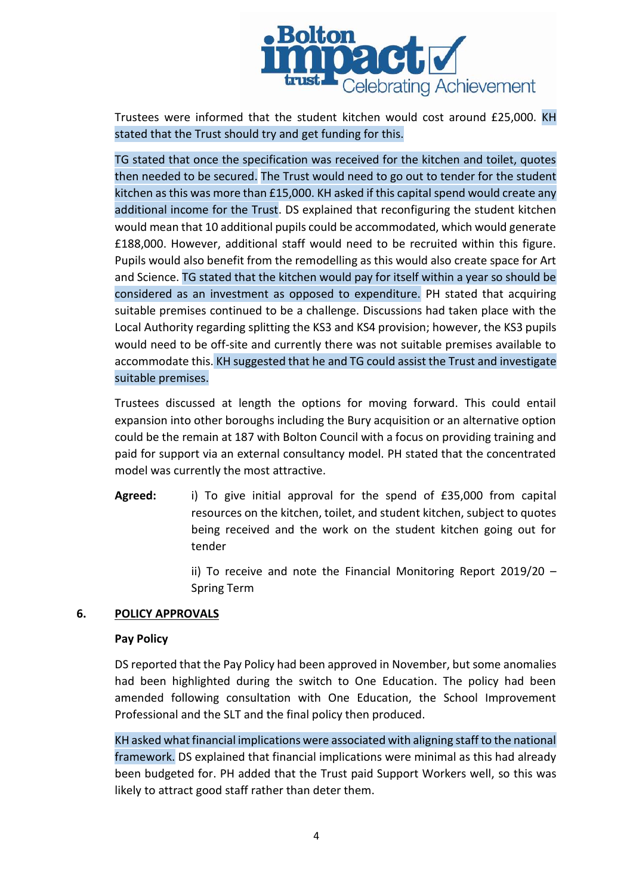

Trustees were informed that the student kitchen would cost around £25,000. KH stated that the Trust should try and get funding for this.

TG stated that once the specification was received for the kitchen and toilet, quotes then needed to be secured. The Trust would need to go out to tender for the student kitchen as this was more than £15,000. KH asked if this capital spend would create any additional income for the Trust. DS explained that reconfiguring the student kitchen would mean that 10 additional pupils could be accommodated, which would generate £188,000. However, additional staff would need to be recruited within this figure. Pupils would also benefit from the remodelling as this would also create space for Art and Science. TG stated that the kitchen would pay for itself within a year so should be considered as an investment as opposed to expenditure. PH stated that acquiring suitable premises continued to be a challenge. Discussions had taken place with the Local Authority regarding splitting the KS3 and KS4 provision; however, the KS3 pupils would need to be off-site and currently there was not suitable premises available to accommodate this. KH suggested that he and TG could assist the Trust and investigate suitable premises.

Trustees discussed at length the options for moving forward. This could entail expansion into other boroughs including the Bury acquisition or an alternative option could be the remain at 187 with Bolton Council with a focus on providing training and paid for support via an external consultancy model. PH stated that the concentrated model was currently the most attractive.

**Agreed:** i) To give initial approval for the spend of £35,000 from capital resources on the kitchen, toilet, and student kitchen, subject to quotes being received and the work on the student kitchen going out for tender

> ii) To receive and note the Financial Monitoring Report 2019/20 – Spring Term

# **6. POLICY APPROVALS**

### **Pay Policy**

DS reported that the Pay Policy had been approved in November, but some anomalies had been highlighted during the switch to One Education. The policy had been amended following consultation with One Education, the School Improvement Professional and the SLT and the final policy then produced.

KH asked what financial implications were associated with aligning staff to the national framework. DS explained that financial implications were minimal as this had already been budgeted for. PH added that the Trust paid Support Workers well, so this was likely to attract good staff rather than deter them.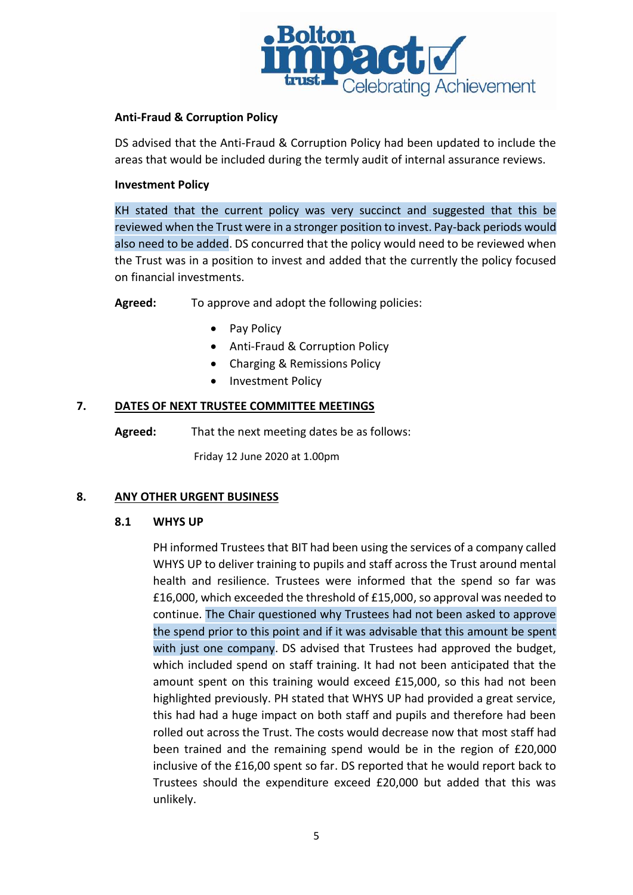

## **Anti-Fraud & Corruption Policy**

DS advised that the Anti-Fraud & Corruption Policy had been updated to include the areas that would be included during the termly audit of internal assurance reviews.

### **Investment Policy**

KH stated that the current policy was very succinct and suggested that this be reviewed when the Trust were in a stronger position to invest. Pay-back periods would also need to be added. DS concurred that the policy would need to be reviewed when the Trust was in a position to invest and added that the currently the policy focused on financial investments.

**Agreed:** To approve and adopt the following policies:

- Pay Policy
- Anti-Fraud & Corruption Policy
- Charging & Remissions Policy
- Investment Policy

## **7. DATES OF NEXT TRUSTEE COMMITTEE MEETINGS**

**Agreed:** That the next meeting dates be as follows:

Friday 12 June 2020 at 1.00pm

### **8. ANY OTHER URGENT BUSINESS**

### **8.1 WHYS UP**

PH informed Trustees that BIT had been using the services of a company called WHYS UP to deliver training to pupils and staff across the Trust around mental health and resilience. Trustees were informed that the spend so far was £16,000, which exceeded the threshold of £15,000, so approval was needed to continue. The Chair questioned why Trustees had not been asked to approve the spend prior to this point and if it was advisable that this amount be spent with just one company. DS advised that Trustees had approved the budget, which included spend on staff training. It had not been anticipated that the amount spent on this training would exceed £15,000, so this had not been highlighted previously. PH stated that WHYS UP had provided a great service, this had had a huge impact on both staff and pupils and therefore had been rolled out across the Trust. The costs would decrease now that most staff had been trained and the remaining spend would be in the region of £20,000 inclusive of the £16,00 spent so far. DS reported that he would report back to Trustees should the expenditure exceed £20,000 but added that this was unlikely.